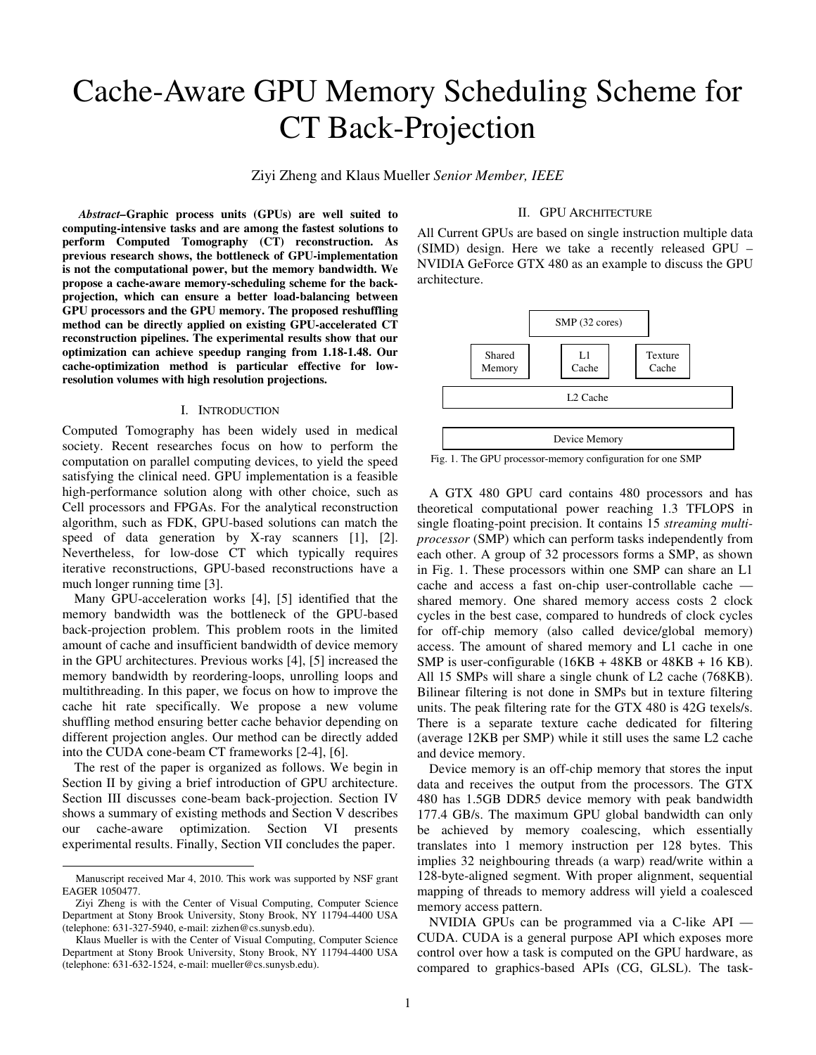# Cache-Aware GPU Memory Scheduling Scheme for CT Back-Projection

Ziyi Zheng and Klaus Mueller *Senior Member, IEEE*

 *Abstract–***Graphic process units (GPUs) are well suited to computing-intensive tasks and are among the fastest solutions to perform Computed Tomography (CT) reconstruction. As previous research shows, the bottleneck of GPU-implementation is not the computational power, but the memory bandwidth. We propose a cache-aware memory-scheduling scheme for the backprojection, which can ensure a better load-balancing between GPU processors and the GPU memory. The proposed reshuffling method can be directly applied on existing GPU-accelerated CT reconstruction pipelines. The experimental results show that our optimization can achieve speedup ranging from 1.18-1.48. Our cache-optimization method is particular effective for lowresolution volumes with high resolution projections.** 

## I. INTRODUCTION

Computed Tomography has been widely used in medical society. Recent researches focus on how to perform the computation on parallel computing devices, to yield the speed satisfying the clinical need. GPU implementation is a feasible high-performance solution along with other choice, such as Cell processors and FPGAs. For the analytical reconstruction algorithm, such as FDK, GPU-based solutions can match the speed of data generation by X-ray scanners [1], [2]. Nevertheless, for low-dose CT which typically requires iterative reconstructions, GPU-based reconstructions have a much longer running time [3].

Many GPU-acceleration works [4], [5] identified that the memory bandwidth was the bottleneck of the GPU-based back-projection problem. This problem roots in the limited amount of cache and insufficient bandwidth of device memory in the GPU architectures. Previous works [4], [5] increased the memory bandwidth by reordering-loops, unrolling loops and multithreading. In this paper, we focus on how to improve the cache hit rate specifically. We propose a new volume shuffling method ensuring better cache behavior depending on different projection angles. Our method can be directly added into the CUDA cone-beam CT frameworks [2-4], [6].

The rest of the paper is organized as follows. We begin in Section II by giving a brief introduction of GPU architecture. Section III discusses cone-beam back-projection. Section IV shows a summary of existing methods and Section V describes our cache-aware optimization. Section VI presents experimental results. Finally, Section VII concludes the paper.

-

## II. GPU ARCHITECTURE

All Current GPUs are based on single instruction multiple data (SIMD) design. Here we take a recently released GPU – NVIDIA GeForce GTX 480 as an example to discuss the GPU architecture.



Fig. 1. The GPU processor-memory configuration for one SMP

A GTX 480 GPU card contains 480 processors and has theoretical computational power reaching 1.3 TFLOPS in single floating-point precision. It contains 15 *streaming multiprocessor* (SMP) which can perform tasks independently from each other. A group of 32 processors forms a SMP, as shown in Fig. 1. These processors within one SMP can share an L1 cache and access a fast on-chip user-controllable cache shared memory. One shared memory access costs 2 clock cycles in the best case, compared to hundreds of clock cycles for off-chip memory (also called device/global memory) access. The amount of shared memory and L1 cache in one SMP is user-configurable  $(16KB + 48KB)$  or  $48KB + 16 KB$ . All 15 SMPs will share a single chunk of L2 cache (768KB). Bilinear filtering is not done in SMPs but in texture filtering units. The peak filtering rate for the GTX 480 is 42G texels/s. There is a separate texture cache dedicated for filtering (average 12KB per SMP) while it still uses the same L2 cache and device memory.

Device memory is an off-chip memory that stores the input data and receives the output from the processors. The GTX 480 has 1.5GB DDR5 device memory with peak bandwidth 177.4 GB/s. The maximum GPU global bandwidth can only be achieved by memory coalescing, which essentially translates into 1 memory instruction per 128 bytes. This implies 32 neighbouring threads (a warp) read/write within a 128-byte-aligned segment. With proper alignment, sequential mapping of threads to memory address will yield a coalesced memory access pattern.

NVIDIA GPUs can be programmed via a C-like API — CUDA. CUDA is a general purpose API which exposes more control over how a task is computed on the GPU hardware, as compared to graphics-based APIs (CG, GLSL). The task-

Manuscript received Mar 4, 2010. This work was supported by NSF grant EAGER 1050477.

Ziyi Zheng is with the Center of Visual Computing, Computer Science Department at Stony Brook University, Stony Brook, NY 11794-4400 USA (telephone: 631-327-5940, e-mail: zizhen@cs.sunysb.edu).

Klaus Mueller is with the Center of Visual Computing, Computer Science Department at Stony Brook University, Stony Brook, NY 11794-4400 USA (telephone: 631-632-1524, e-mail: mueller@cs.sunysb.edu).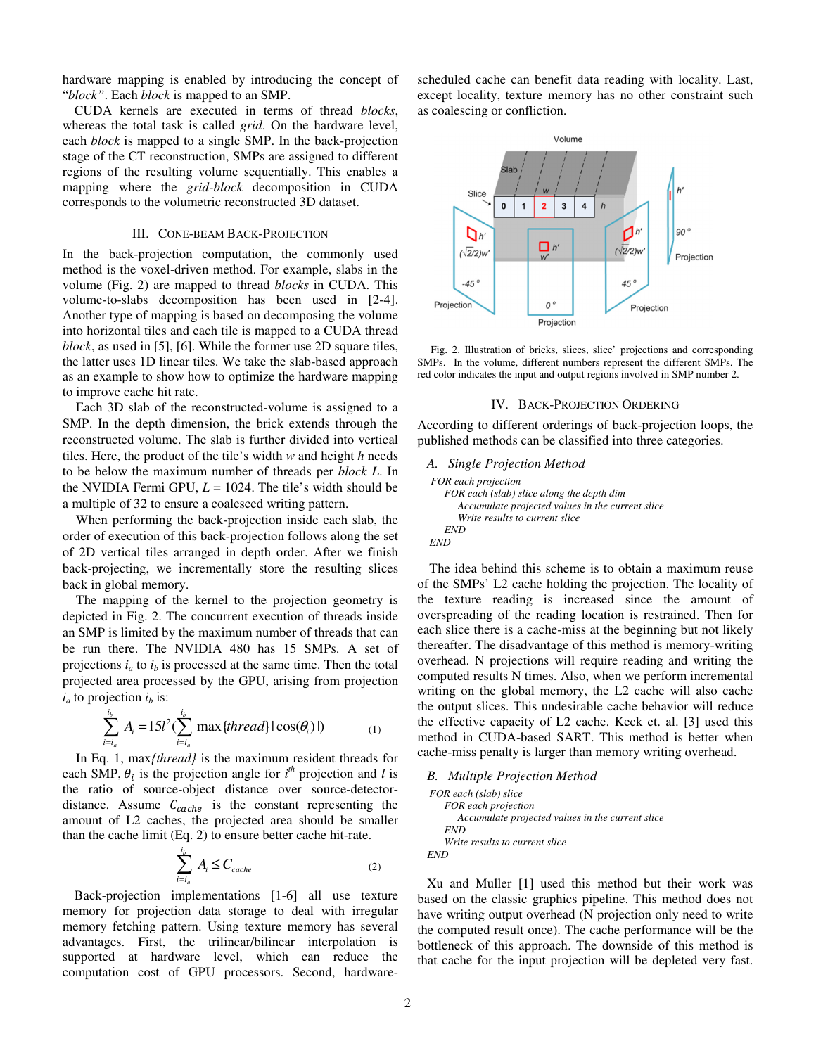hardware mapping is enabled by introducing the concept of "*block"*. Each *block* is mapped to an SMP.

CUDA kernels are executed in terms of thread *blocks*, whereas the total task is called *grid*. On the hardware level, each *block* is mapped to a single SMP. In the back-projection stage of the CT reconstruction, SMPs are assigned to different regions of the resulting volume sequentially. This enables a mapping where the *grid*-*block* decomposition in CUDA corresponds to the volumetric reconstructed 3D dataset.

#### III. CONE-BEAM BACK-PROJECTION

In the back-projection computation, the commonly used method is the voxel-driven method. For example, slabs in the volume (Fig. 2) are mapped to thread *blocks* in CUDA. This volume-to-slabs decomposition has been used in [2-4]. Another type of mapping is based on decomposing the volume into horizontal tiles and each tile is mapped to a CUDA thread *block*, as used in [5], [6]. While the former use 2D square tiles, the latter uses 1D linear tiles. We take the slab-based approach as an example to show how to optimize the hardware mapping to improve cache hit rate.

Each 3D slab of the reconstructed-volume is assigned to a SMP. In the depth dimension, the brick extends through the reconstructed volume. The slab is further divided into vertical tiles. Here, the product of the tile's width *w* and height *h* needs to be below the maximum number of threads per *block L*. In the NVIDIA Fermi GPU,  $L = 1024$ . The tile's width should be a multiple of 32 to ensure a coalesced writing pattern.

When performing the back-projection inside each slab, the order of execution of this back-projection follows along the set of 2D vertical tiles arranged in depth order. After we finish back-projecting, we incrementally store the resulting slices back in global memory.

The mapping of the kernel to the projection geometry is depicted in Fig. 2. The concurrent execution of threads inside an SMP is limited by the maximum number of threads that can be run there. The NVIDIA 480 has 15 SMPs. A set of projections  $i_a$  to  $i_b$  is processed at the same time. Then the total projected area processed by the GPU, arising from projection  $i_a$  to projection  $i_b$  is:

$$
\sum_{i=i_a}^{i_b} A_i = 15l^2 (\sum_{i=i_a}^{i_b} \max\{thread\} | \cos(\theta_i) |)
$$
 (1)

In Eq. 1, max*{thread}* is the maximum resident threads for each SMP,  $\theta_i$  is the projection angle for  $i^h$  projection and *l* is the ratio of source-object distance over source-detectordistance. Assume  $C_{cache}$  is the constant representing the amount of L2 caches, the projected area should be smaller than the cache limit (Eq. 2) to ensure better cache hit-rate.

$$
\sum_{i=i_a}^{i_b} A_i \le C_{cache} \tag{2}
$$

Back-projection implementations [1-6] all use texture memory for projection data storage to deal with irregular memory fetching pattern. Using texture memory has several advantages. First, the trilinear/bilinear interpolation is supported at hardware level, which can reduce the computation cost of GPU processors. Second, hardwarescheduled cache can benefit data reading with locality. Last, except locality, texture memory has no other constraint such as coalescing or confliction.



Fig. 2. Illustration of bricks, slices, slice' projections and corresponding SMPs. In the volume, different numbers represent the different SMPs. The red color indicates the input and output regions involved in SMP number 2.

#### IV. BACK-PROJECTION ORDERING

According to different orderings of back-projection loops, the published methods can be classified into three categories.

```
A. Single Projection Method 
FOR each projection 
   FOR each (slab) slice along the depth dim 
      Accumulate projected values in the current slice 
      Write results to current slice 
   END 
END
```
The idea behind this scheme is to obtain a maximum reuse of the SMPs' L2 cache holding the projection. The locality of the texture reading is increased since the amount of overspreading of the reading location is restrained. Then for each slice there is a cache-miss at the beginning but not likely thereafter. The disadvantage of this method is memory-writing overhead. N projections will require reading and writing the computed results N times. Also, when we perform incremental writing on the global memory, the L2 cache will also cache the output slices. This undesirable cache behavior will reduce the effective capacity of L2 cache. Keck et. al. [3] used this method in CUDA-based SART. This method is better when cache-miss penalty is larger than memory writing overhead.

```
B. Multiple Projection Method 
FOR each (slab) slice 
   FOR each projection 
      Accumulate projected values in the current slice 
   END 
   Write results to current slice 
END
```
Xu and Muller [1] used this method but their work was based on the classic graphics pipeline. This method does not have writing output overhead (N projection only need to write the computed result once). The cache performance will be the bottleneck of this approach. The downside of this method is that cache for the input projection will be depleted very fast.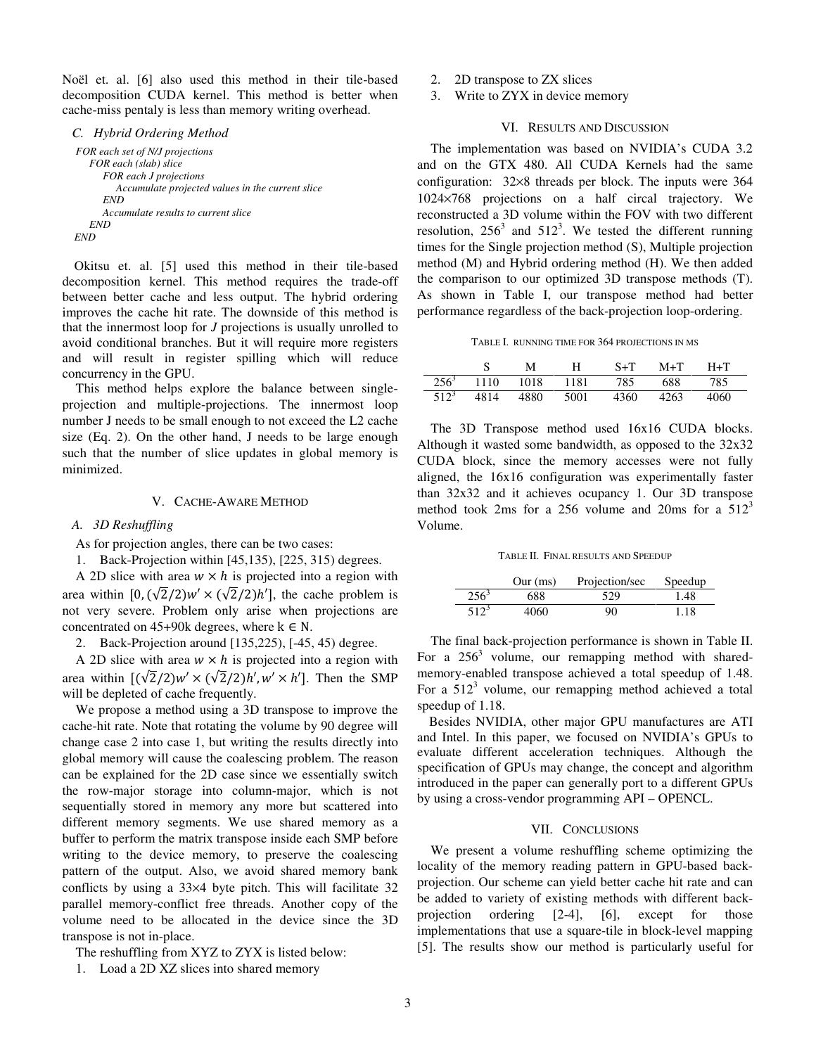Noël et. al. [6] also used this method in their tile-based decomposition CUDA kernel. This method is better when cache-miss pentaly is less than memory writing overhead.

*C. Hybrid Ordering Method FOR each set of N/J projections FOR each (slab) slice FOR each J projections Accumulate projected values in the current slice END Accumulate results to current slice END END* 

Okitsu et. al. [5] used this method in their tile-based decomposition kernel. This method requires the trade-off between better cache and less output. The hybrid ordering improves the cache hit rate. The downside of this method is that the innermost loop for *J* projections is usually unrolled to avoid conditional branches. But it will require more registers and will result in register spilling which will reduce concurrency in the GPU.

This method helps explore the balance between singleprojection and multiple-projections. The innermost loop number J needs to be small enough to not exceed the L2 cache size (Eq. 2). On the other hand, J needs to be large enough such that the number of slice updates in global memory is minimized.

## V. CACHE-AWARE METHOD

#### *A. 3D Reshuffling*

As for projection angles, there can be two cases:

1. Back-Projection within [45,135), [225, 315) degrees.

A 2D slice with area  $w \times h$  is projected into a region with area within  $[0, (\sqrt{2}/2)w' \times (\sqrt{2}/2)h']$ , the cache problem is not very severe. Problem only arise when projections are concentrated on 45+90k degrees, where  $k \in N$ .

2. Back-Projection around [135,225), [-45, 45) degree.

A 2D slice with area  $w \times h$  is projected into a region with area within  $[(\sqrt{2}/2)w' \times (\sqrt{2}/2)h', w' \times h']$ . Then the SMP will be depleted of cache frequently.

We propose a method using a 3D transpose to improve the cache-hit rate. Note that rotating the volume by 90 degree will change case 2 into case 1, but writing the results directly into global memory will cause the coalescing problem. The reason can be explained for the 2D case since we essentially switch the row-major storage into column-major, which is not sequentially stored in memory any more but scattered into different memory segments. We use shared memory as a buffer to perform the matrix transpose inside each SMP before writing to the device memory, to preserve the coalescing pattern of the output. Also, we avoid shared memory bank conflicts by using a 33×4 byte pitch. This will facilitate 32 parallel memory-conflict free threads. Another copy of the volume need to be allocated in the device since the 3D transpose is not in-place.

The reshuffling from XYZ to ZYX is listed below:

1. Load a 2D XZ slices into shared memory

- 2. 2D transpose to ZX slices
- 3. Write to ZYX in device memory

## VI. RESULTS AND DISCUSSION

The implementation was based on NVIDIA's CUDA 3.2 and on the GTX 480. All CUDA Kernels had the same configuration: 32×8 threads per block. The inputs were 364 1024×768 projections on a half circal trajectory. We reconstructed a 3D volume within the FOV with two different resolution,  $256^3$  and  $512^3$ . We tested the different running times for the Single projection method (S), Multiple projection method (M) and Hybrid ordering method (H). We then added the comparison to our optimized 3D transpose methods (T). As shown in Table I, our transpose method had better performance regardless of the back-projection loop-ordering.

TABLE I. RUNNING TIME FOR 364 PROJECTIONS IN MS

|                    |      | м    | −H − | $S+T$ | $M+T$ | $H + T$ |
|--------------------|------|------|------|-------|-------|---------|
| $\overline{256}^3$ | 1110 | 1018 | 1181 | 785   | 688   | 785     |
| 512 <sup>3</sup>   | 4814 | 4880 | 5001 | 4360  | 4263  | 4060    |

The 3D Transpose method used 16x16 CUDA blocks. Although it wasted some bandwidth, as opposed to the 32x32 CUDA block, since the memory accesses were not fully aligned, the 16x16 configuration was experimentally faster than 32x32 and it achieves ocupancy 1. Our 3D transpose method took 2ms for a 256 volume and 20ms for a  $512<sup>3</sup>$ Volume.

TABLE II. FINAL RESULTS AND SPEEDUP

|         | Our (ms) | Projection/sec | Speedup |
|---------|----------|----------------|---------|
| $256^3$ | 688      | 529            | 1.48    |
| $512^3$ | 4060     | 90             | 1.18    |

The final back-projection performance is shown in Table II. For a  $256<sup>3</sup>$  volume, our remapping method with sharedmemory-enabled transpose achieved a total speedup of 1.48. For a  $512<sup>3</sup>$  volume, our remapping method achieved a total speedup of 1.18.

Besides NVIDIA, other major GPU manufactures are ATI and Intel. In this paper, we focused on NVIDIA's GPUs to evaluate different acceleration techniques. Although the specification of GPUs may change, the concept and algorithm introduced in the paper can generally port to a different GPUs by using a cross-vendor programming API – OPENCL.

#### VII. CONCLUSIONS

We present a volume reshuffling scheme optimizing the locality of the memory reading pattern in GPU-based backprojection. Our scheme can yield better cache hit rate and can be added to variety of existing methods with different backprojection ordering [2-4], [6], except for those implementations that use a square-tile in block-level mapping [5]. The results show our method is particularly useful for